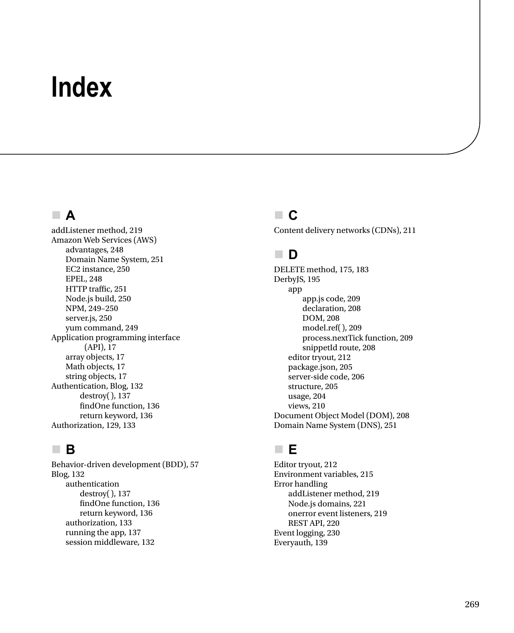# **Index**

#### **A**

addListener method, 219 Amazon Web Services (AWS) advantages, 248 Domain Name System, 251 EC2 instance, 250 EPEL, 248 HTTP traffic, 251 Node.js build, 250 NPM, 249–250 server.js, 250 yum command, 249 Application programming interface (API), 17 array objects, 17 Math objects, 17 string objects, 17 Authentication, Blog, 132 destroy(), 137 findOne function, 136 return keyword, 136 Authorization, 129, 133

## **B**

Behavior-driven development (BDD), 57 Blog, 132 authentication destroy(), 137 findOne function, 136 return keyword, 136 authorization, 133 running the app, 137 session middleware, 132

#### **C**

Content delivery networks (CDNs), 211

## **D**

DELETE method, 175, 183 DerbyJS, 195 app app.js code, 209 declaration, 208 DOM, 208 model.ref(), 209 process.nextTick function, 209 snippetId route, 208 editor tryout, 212 package.json, 205 server-side code, 206 structure, 205 usage, 204 views, 210 Document Object Model (DOM), 208 Domain Name System (DNS), 251

#### **E**

Editor tryout, 212 Environment variables, 215 Error handling addListener method, 219 Node.js domains, 221 onerror event listeners, 219 REST API, 220 Event logging, 230 Everyauth, 139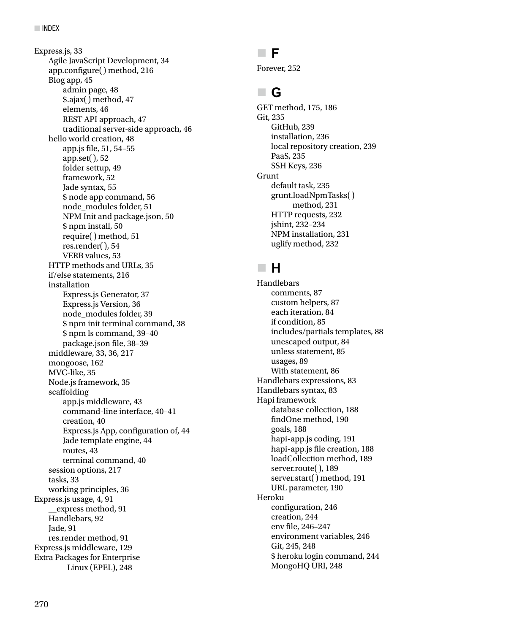Express.js, 33 Agile JavaScript Development, 34 app.configure() method, 216 Blog app, 45 admin page, 48 \$.ajax() method, 47 elements, 46 REST API approach, 47 traditional server-side approach, 46 hello world creation, 48 app.js file, 51, 54–55 app.set(), 52 folder settup, 49 framework, 52 Jade syntax, 55 \$ node app command, 56 node\_modules folder, 51 NPM Init and package.json, 50 \$ npm install, 50 require() method, 51 res.render(), 54 VERB values, 53 HTTP methods and URLs, 35 if/else statements, 216 installation Express.js Generator, 37 Express.js Version, 36 node\_modules folder, 39 \$ npm init terminal command, 38 \$ npm ls command, 39–40 package.json file, 38–39 middleware, 33, 36, 217 mongoose, 162 MVC-like, 35 Node.js framework, 35 scaffolding app.js middleware, 43 command-line interface, 40–41 creation, 40 Express.js App, configuration of, 44 Jade template engine, 44 routes, 43 terminal command, 40 session options, 217 tasks, 33 working principles, 36 Express.js usage, 4, 91 \_\_express method, 91 Handlebars, 92 Jade, 91 res.render method, 91 Express.js middleware, 129 Extra Packages for Enterprise Linux (EPEL), 248

#### **F**

Forever, 252

# **G**

GET method, 175, 186 Git, 235 GitHub, 239 installation, 236 local repository creation, 239 PaaS, 235 SSH Keys, 236 Grunt default task, 235 grunt.loadNpmTasks() method, 231 HTTP requests, 232 jshint, 232–234 NPM installation, 231 uglify method, 232

## **H**

Handlebars comments, 87 custom helpers, 87 each iteration, 84 if condition, 85 includes/partials templates, 88 unescaped output, 84 unless statement, 85 usages, 89 With statement, 86 Handlebars expressions, 83 Handlebars syntax, 83 Hapi framework database collection, 188 findOne method, 190 goals, 188 hapi-app.js coding, 191 hapi-app.js file creation, 188 loadCollection method, 189 server.route(), 189 server.start() method, 191 URL parameter, 190 Heroku configuration, 246 creation, 244 env file, 246–247 environment variables, 246 Git, 245, 248 \$ heroku login command, 244 MongoHQ URI, 248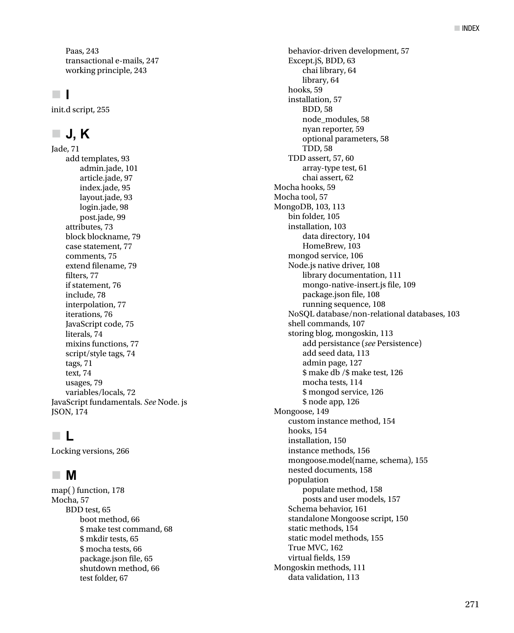Paas, 243 transactional e-mails, 247 working principle, 243

#### **I**

init.d script, 255

## **J, K**

Jade, 71 add templates, 93 admin.jade, 101 article.jade, 97 index.jade, 95 layout.jade, 93 login.jade, 98 post.jade, 99 attributes, 73 block blockname, 79 case statement, 77 comments, 75 extend filename, 79 filters, 77 if statement, 76 include, 78 interpolation, 77 iterations, 76 JavaScript code, 75 literals, 74 mixins functions, 77 script/style tags, 74 tags, 71 text, 74 usages, 79 variables/locals, 72 JavaScript fundamentals. *See* Node. js JSON, 174

## **L**

Locking versions, 266

#### **M**

map() function, 178 Mocha, 57 BDD test, 65 boot method, 66 \$ make test command, 68 \$ mkdir tests, 65 \$ mocha tests, 66 package.json file, 65 shutdown method, 66 test folder, 67

behavior-driven development, 57 Except.jS, BDD, 63 chai library, 64 library, 64 hooks, 59 installation, 57 BDD, 58 node\_modules, 58 nyan reporter, 59 optional parameters, 58 TDD, 58 TDD assert, 57, 60 array-type test, 61 chai assert, 62 Mocha hooks, 59 Mocha tool, 57 MongoDB, 103, 113 bin folder, 105 installation, 103 data directory, 104 HomeBrew, 103 mongod service, 106 Node.js native driver, 108 library documentation, 111 mongo-native-insert.js file, 109 package.json file, 108 running sequence, 108 NoSQL database/non-relational databases, 103 shell commands, 107 storing blog, mongoskin, 113 add persistance (*see* Persistence) add seed data, 113 admin page, 127 \$ make db /\$ make test, 126 mocha tests, 114 \$ mongod service, 126 \$ node app, 126 Mongoose, 149 custom instance method, 154 hooks, 154 installation, 150 instance methods, 156 mongoose.model(name, schema), 155 nested documents, 158 population populate method, 158 posts and user models, 157 Schema behavior, 161 standalone Mongoose script, 150 static methods, 154 static model methods, 155 True MVC, 162 virtual fields, 159 Mongoskin methods, 111 data validation, 113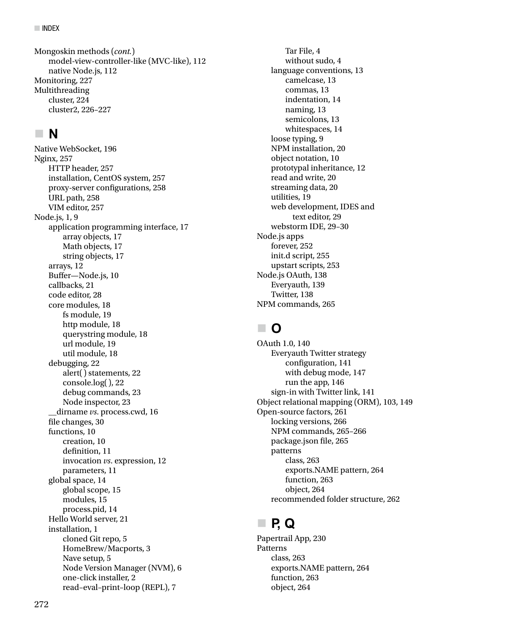model-view-controller-like (MVC-like), 112 native Node.js, 112 Monitoring, 227 Multithreading cluster, 224 cluster2, 226–227 Mongoskin methods (*cont.*)

## **N**

Native WebSocket, 196 Nginx, 257 HTTP header, 257 installation, CentOS system, 257 proxy-server configurations, 258 URL path, 258 VIM editor, 257 Node.js, 1, 9 application programming interface, 17 array objects, 17 Math objects, 17 string objects, 17 arrays, 12 Buffer—Node.js, 10 callbacks, 21 code editor, 28 core modules, 18 fs module, 19 http module, 18 querystring module, 18 url module, 19 util module, 18 debugging, 22 alert() statements, 22 console.log(), 22 debug commands, 23 Node inspector, 23 \_\_dirname *vs*. process.cwd, 16 file changes, 30 functions, 10 creation, 10 definition, 11 invocation *vs*. expression, 12 parameters, 11 global space, 14 global scope, 15 modules, 15 process.pid, 14 Hello World server, 21 installation, 1 cloned Git repo, 5 HomeBrew/Macports, 3 Nave setup, 5 Node Version Manager (NVM), 6 one-click installer, 2 read–eval–print–loop (REPL), 7

Tar File, 4 without sudo, 4 language conventions, 13 camelcase, 13 commas, 13 indentation, 14 naming, 13 semicolons, 13 whitespaces, 14 loose typing, 9 NPM installation, 20 object notation, 10 prototypal inheritance, 12 read and write, 20 streaming data, 20 utilities, 19 web development, IDES and text editor, 29 webstorm IDE, 29–30 Node.js apps forever, 252 init.d script, 255 upstart scripts, 253 Node.js OAuth, 138 Everyauth, 139 Twitter, 138 NPM commands, 265

## **O**

OAuth 1.0, 140 Everyauth Twitter strategy configuration, 141 with debug mode, 147 run the app. 146 sign-in with Twitter link, 141 Object relational mapping (ORM), 103, 149 Open-source factors, 261 locking versions, 266 NPM commands, 265–266 package.json file, 265 patterns class, 263 exports.NAME pattern, 264 function, 263 object, 264 recommended folder structure, 262

# **P, Q**

Papertrail App, 230 Patterns class, 263 exports.NAME pattern, 264 function, 263 object, 264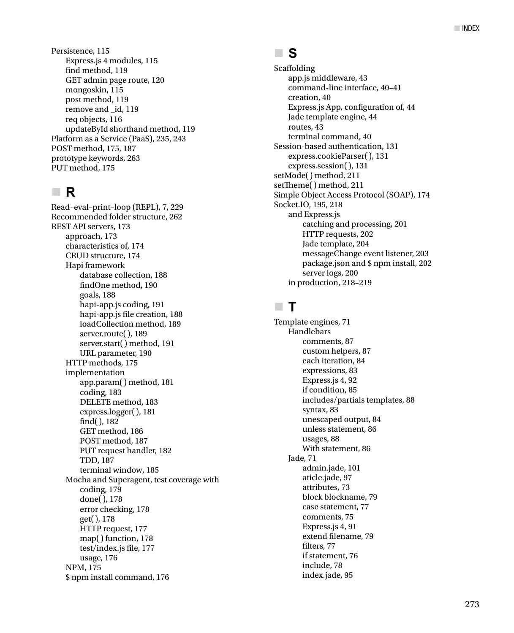Persistence, 115 Express.js 4 modules, 115 find method, 119 GET admin page route, 120 mongoskin, 115 post method, 119 remove and \_id, 119 req objects, 116 updateById shorthand method, 119 Platform as a Service (PaaS), 235, 243 POST method, 175, 187 prototype keywords, 263 PUT method, 175

## **R**

Read–eval–print–loop (REPL), 7, 229 Recommended folder structure, 262 REST API servers, 173 approach, 173 characteristics of, 174 CRUD structure, 174 Hapi framework database collection, 188 findOne method, 190 goals, 188 hapi-app.js coding, 191 hapi-app.js file creation, 188 loadCollection method, 189 server.route(), 189 server.start() method, 191 URL parameter, 190 HTTP methods, 175 implementation app.param() method, 181 coding, 183 DELETE method, 183 express.logger(), 181 find(), 182 GET method, 186 POST method, 187 PUT request handler, 182 TDD, 187 terminal window, 185 Mocha and Superagent, test coverage with coding, 179 done(), 178 error checking, 178 get(), 178 HTTP request, 177 map() function, 178 test/index.js file, 177 usage, 176 NPM, 175 \$ npm install command, 176

#### **S**

Scaffolding app.js middleware, 43 command-line interface, 40–41 creation, 40 Express.js App, configuration of, 44 Jade template engine, 44 routes, 43 terminal command, 40 Session-based authentication, 131 express.cookieParser(), 131 express.session(), 131 setMode() method, 211 setTheme() method, 211 Simple Object Access Protocol (SOAP), 174 Socket.IO, 195, 218 and Express.js catching and processing, 201 HTTP requests, 202 Jade template, 204 messageChange event listener, 203 package.json and \$ npm install, 202 server logs, 200 in production, 218–219

## **T**

Template engines, 71 Handlebars comments, 87 custom helpers, 87 each iteration, 84 expressions, 83 Express.js 4, 92 if condition, 85 includes/partials templates, 88 syntax, 83 unescaped output, 84 unless statement, 86 usages, 88 With statement, 86 Jade, 71 admin.jade, 101 aticle.jade, 97 attributes, 73 block blockname, 79 case statement, 77 comments, 75 Express.js 4, 91 extend filename, 79 filters, 77 if statement, 76 include, 78 index.jade, 95